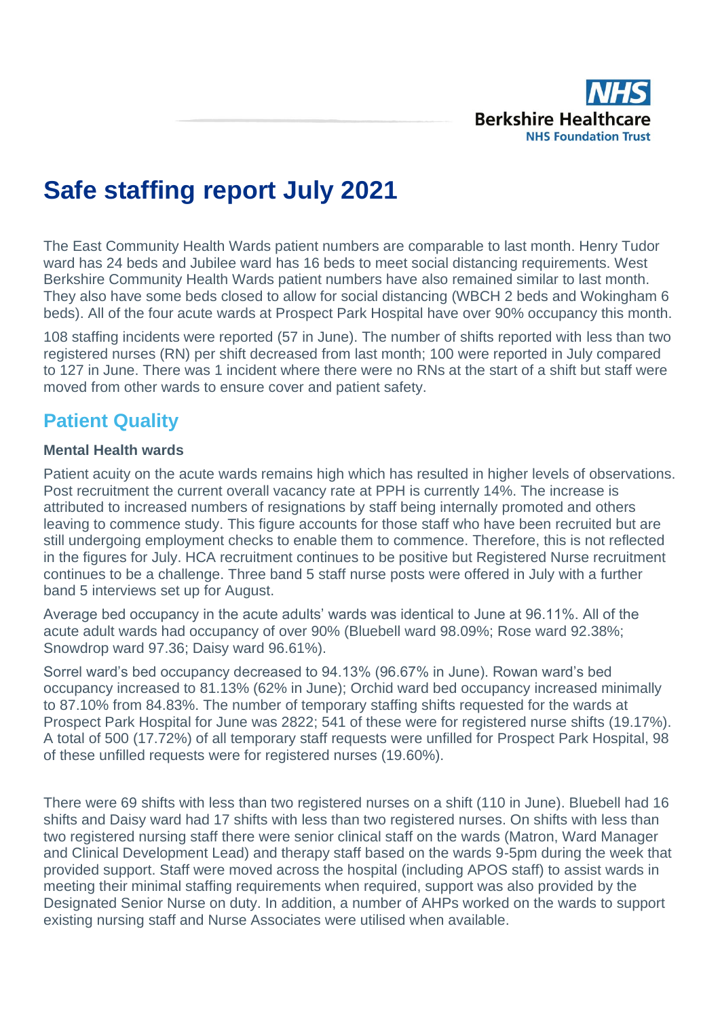

# **Safe staffing report July 2021**

The East Community Health Wards patient numbers are comparable to last month. Henry Tudor ward has 24 beds and Jubilee ward has 16 beds to meet social distancing requirements. West Berkshire Community Health Wards patient numbers have also remained similar to last month. They also have some beds closed to allow for social distancing (WBCH 2 beds and Wokingham 6 beds). All of the four acute wards at Prospect Park Hospital have over 90% occupancy this month.

108 staffing incidents were reported (57 in June). The number of shifts reported with less than two registered nurses (RN) per shift decreased from last month; 100 were reported in July compared to 127 in June. There was 1 incident where there were no RNs at the start of a shift but staff were moved from other wards to ensure cover and patient safety.

# **Patient Quality**

#### **Mental Health wards**

Patient acuity on the acute wards remains high which has resulted in higher levels of observations. Post recruitment the current overall vacancy rate at PPH is currently 14%. The increase is attributed to increased numbers of resignations by staff being internally promoted and others leaving to commence study. This figure accounts for those staff who have been recruited but are still undergoing employment checks to enable them to commence. Therefore, this is not reflected in the figures for July. HCA recruitment continues to be positive but Registered Nurse recruitment continues to be a challenge. Three band 5 staff nurse posts were offered in July with a further band 5 interviews set up for August.

Average bed occupancy in the acute adults' wards was identical to June at 96.11%. All of the acute adult wards had occupancy of over 90% (Bluebell ward 98.09%; Rose ward 92.38%; Snowdrop ward 97.36; Daisy ward 96.61%).

Sorrel ward's bed occupancy decreased to 94.13% (96.67% in June). Rowan ward's bed occupancy increased to 81.13% (62% in June); Orchid ward bed occupancy increased minimally to 87.10% from 84.83%. The number of temporary staffing shifts requested for the wards at Prospect Park Hospital for June was 2822; 541 of these were for registered nurse shifts (19.17%). A total of 500 (17.72%) of all temporary staff requests were unfilled for Prospect Park Hospital, 98 of these unfilled requests were for registered nurses (19.60%).

There were 69 shifts with less than two registered nurses on a shift (110 in June). Bluebell had 16 shifts and Daisy ward had 17 shifts with less than two registered nurses. On shifts with less than two registered nursing staff there were senior clinical staff on the wards (Matron, Ward Manager and Clinical Development Lead) and therapy staff based on the wards 9-5pm during the week that provided support. Staff were moved across the hospital (including APOS staff) to assist wards in meeting their minimal staffing requirements when required, support was also provided by the Designated Senior Nurse on duty. In addition, a number of AHPs worked on the wards to support existing nursing staff and Nurse Associates were utilised when available.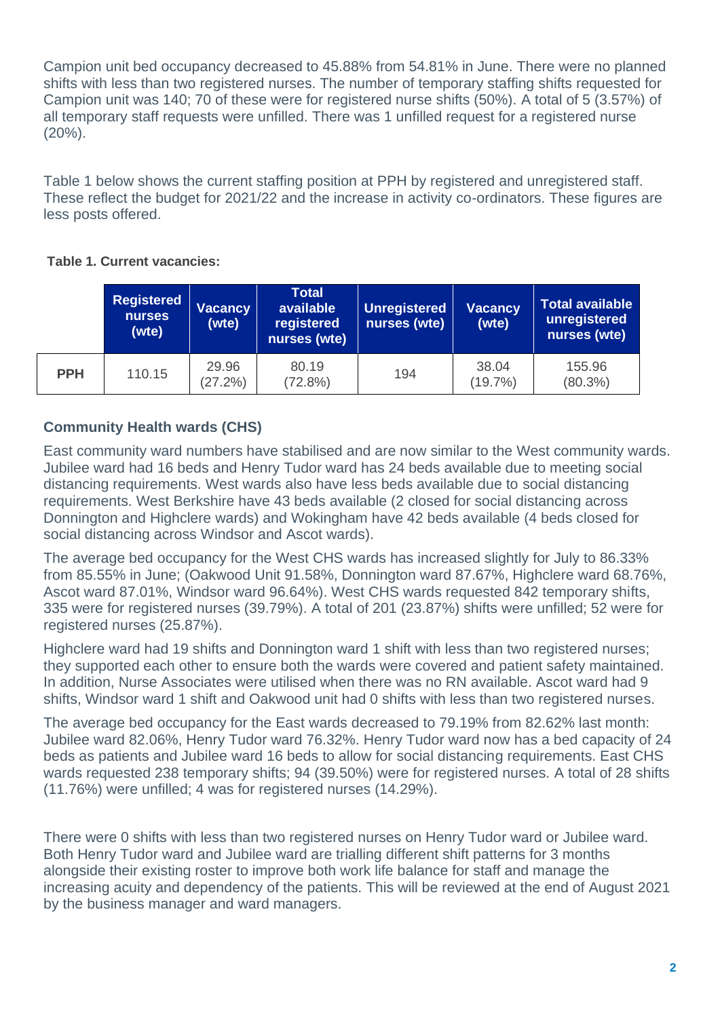Campion unit bed occupancy decreased to 45.88% from 54.81% in June. There were no planned shifts with less than two registered nurses. The number of temporary staffing shifts requested for Campion unit was 140; 70 of these were for registered nurse shifts (50%). A total of 5 (3.57%) of all temporary staff requests were unfilled. There was 1 unfilled request for a registered nurse (20%).

Table 1 below shows the current staffing position at PPH by registered and unregistered staff. These reflect the budget for 2021/22 and the increase in activity co-ordinators. These figures are less posts offered.

#### **Table 1. Current vacancies:**

|            | <b>Registered</b><br><b>Vacancy</b><br><b>nurses</b><br>(wte)<br>(wte) |                     | <b>Total</b><br>available<br>registered<br>nurses (wte) | Unregistered<br>nurses (wte) | <b>Vacancy</b><br>(wte) | <b>Total available</b><br>unregistered<br>nurses (wte) |  |  |
|------------|------------------------------------------------------------------------|---------------------|---------------------------------------------------------|------------------------------|-------------------------|--------------------------------------------------------|--|--|
| <b>PPH</b> | 110.15                                                                 | 29.96<br>$(27.2\%)$ | 80.19<br>$(72.8\%)$                                     | 194                          | 38.04<br>$(19.7\%)$     | 155.96<br>$(80.3\%)$                                   |  |  |

### **Community Health wards (CHS)**

East community ward numbers have stabilised and are now similar to the West community wards. Jubilee ward had 16 beds and Henry Tudor ward has 24 beds available due to meeting social distancing requirements. West wards also have less beds available due to social distancing requirements. West Berkshire have 43 beds available (2 closed for social distancing across Donnington and Highclere wards) and Wokingham have 42 beds available (4 beds closed for social distancing across Windsor and Ascot wards).

The average bed occupancy for the West CHS wards has increased slightly for July to 86.33% from 85.55% in June; (Oakwood Unit 91.58%, Donnington ward 87.67%, Highclere ward 68.76%, Ascot ward 87.01%, Windsor ward 96.64%). West CHS wards requested 842 temporary shifts, 335 were for registered nurses (39.79%). A total of 201 (23.87%) shifts were unfilled; 52 were for registered nurses (25.87%).

Highclere ward had 19 shifts and Donnington ward 1 shift with less than two registered nurses; they supported each other to ensure both the wards were covered and patient safety maintained. In addition, Nurse Associates were utilised when there was no RN available. Ascot ward had 9 shifts, Windsor ward 1 shift and Oakwood unit had 0 shifts with less than two registered nurses.

The average bed occupancy for the East wards decreased to 79.19% from 82.62% last month: Jubilee ward 82.06%, Henry Tudor ward 76.32%. Henry Tudor ward now has a bed capacity of 24 beds as patients and Jubilee ward 16 beds to allow for social distancing requirements. East CHS wards requested 238 temporary shifts; 94 (39.50%) were for registered nurses. A total of 28 shifts (11.76%) were unfilled; 4 was for registered nurses (14.29%).

There were 0 shifts with less than two registered nurses on Henry Tudor ward or Jubilee ward. Both Henry Tudor ward and Jubilee ward are trialling different shift patterns for 3 months alongside their existing roster to improve both work life balance for staff and manage the increasing acuity and dependency of the patients. This will be reviewed at the end of August 2021 by the business manager and ward managers.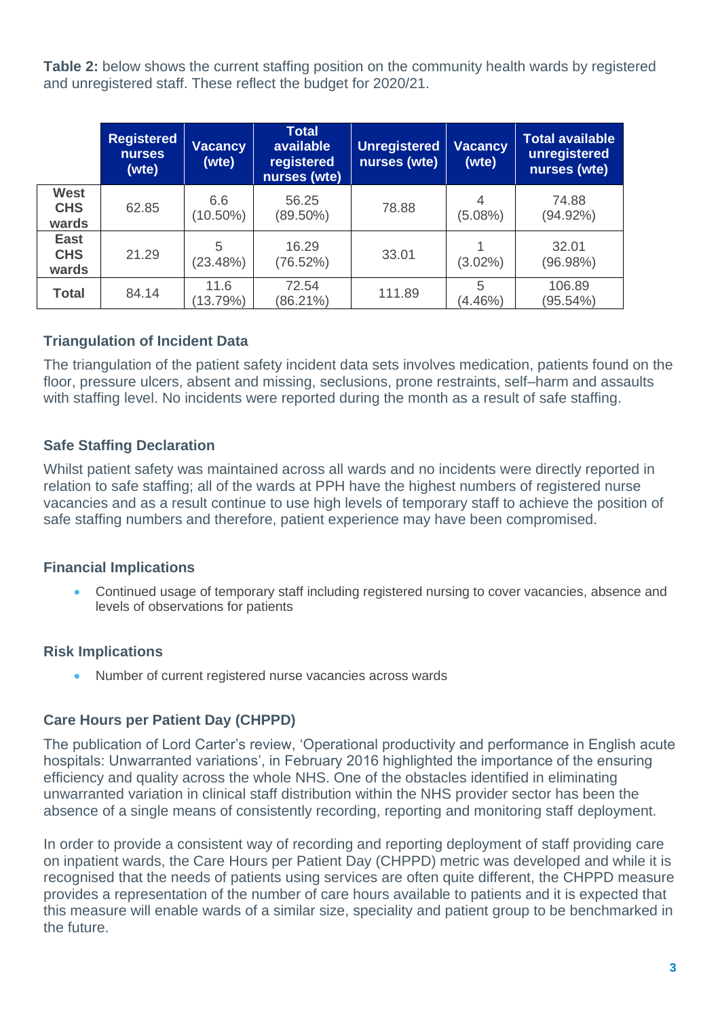**Table 2:** below shows the current staffing position on the community health wards by registered and unregistered staff. These reflect the budget for 2020/21.

|                                    | <b>Registered</b><br><b>nurses</b><br>(wte) | <b>Vacancy</b><br>(wte) | <b>Total</b><br>available<br>registered<br>nurses (wte) | Unregistered<br>nurses (wte) | <b>Vacancy</b><br>(wte) | <b>Total available</b><br>unregistered<br>nurses (wte) |
|------------------------------------|---------------------------------------------|-------------------------|---------------------------------------------------------|------------------------------|-------------------------|--------------------------------------------------------|
| <b>West</b><br><b>CHS</b><br>wards | 62.85                                       | 6.6<br>$(10.50\%)$      | 56.25<br>$(89.50\%)$                                    | 78.88                        | 4<br>$(5.08\%)$         | 74.88<br>$(94.92\%)$                                   |
| <b>East</b><br><b>CHS</b><br>wards | 21.29                                       | 5<br>(23.48%)           | 16.29<br>(76.52%)                                       | 33.01                        | $(3.02\%)$              | 32.01<br>(96.98%)                                      |
| <b>Total</b>                       | 84.14                                       | 11.6<br>(13.79%)        | 72.54<br>(86.21%)                                       | 111.89                       | 5<br>$(4.46\%)$         | 106.89<br>(95.54%)                                     |

#### **Triangulation of Incident Data**

The triangulation of the patient safety incident data sets involves medication, patients found on the floor, pressure ulcers, absent and missing, seclusions, prone restraints, self–harm and assaults with staffing level. No incidents were reported during the month as a result of safe staffing.

#### **Safe Staffing Declaration**

Whilst patient safety was maintained across all wards and no incidents were directly reported in relation to safe staffing; all of the wards at PPH have the highest numbers of registered nurse vacancies and as a result continue to use high levels of temporary staff to achieve the position of safe staffing numbers and therefore, patient experience may have been compromised.

#### **Financial Implications**

• Continued usage of temporary staff including registered nursing to cover vacancies, absence and levels of observations for patients

# **Risk Implications**

• Number of current registered nurse vacancies across wards

# **Care Hours per Patient Day (CHPPD)**

The publication of Lord Carter's review, 'Operational productivity and performance in English acute hospitals: Unwarranted variations', in February 2016 highlighted the importance of the ensuring efficiency and quality across the whole NHS. One of the obstacles identified in eliminating unwarranted variation in clinical staff distribution within the NHS provider sector has been the absence of a single means of consistently recording, reporting and monitoring staff deployment.

In order to provide a consistent way of recording and reporting deployment of staff providing care on inpatient wards, the Care Hours per Patient Day (CHPPD) metric was developed and while it is recognised that the needs of patients using services are often quite different, the CHPPD measure provides a representation of the number of care hours available to patients and it is expected that this measure will enable wards of a similar size, speciality and patient group to be benchmarked in the future.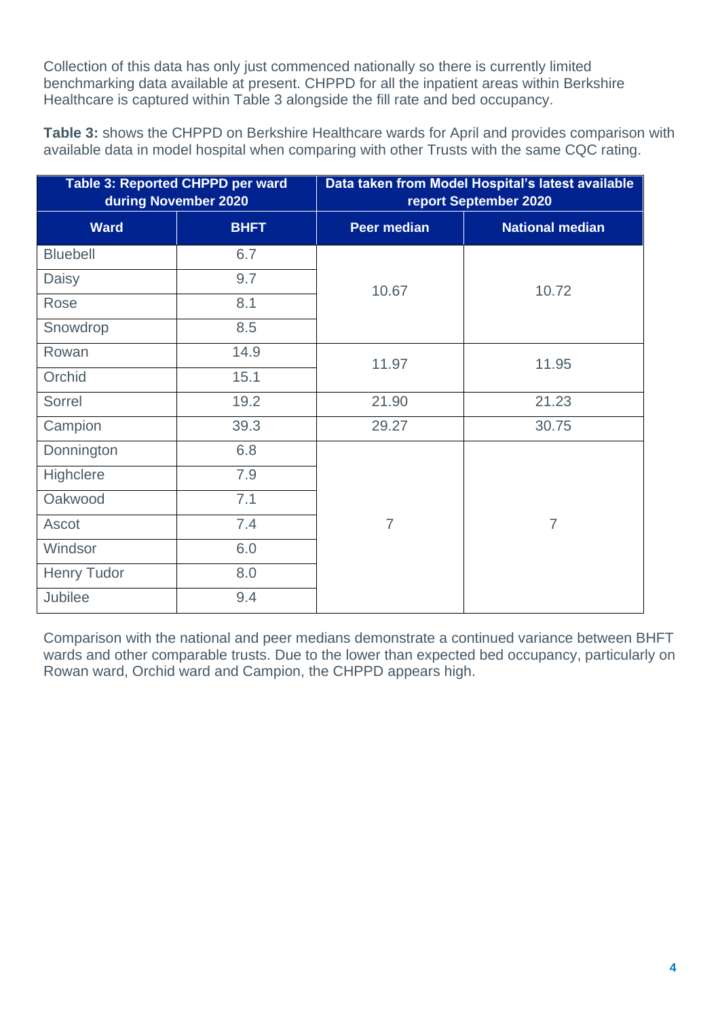Collection of this data has only just commenced nationally so there is currently limited benchmarking data available at present. CHPPD for all the inpatient areas within Berkshire Healthcare is captured within Table 3 alongside the fill rate and bed occupancy.

**Table 3:** shows the CHPPD on Berkshire Healthcare wards for April and provides comparison with available data in model hospital when comparing with other Trusts with the same CQC rating.

|                    | Table 3: Reported CHPPD per ward<br>during November 2020 | Data taken from Model Hospital's latest available<br>report September 2020 |                        |  |  |  |  |  |  |  |  |
|--------------------|----------------------------------------------------------|----------------------------------------------------------------------------|------------------------|--|--|--|--|--|--|--|--|
| <b>Ward</b>        | <b>BHFT</b>                                              | <b>Peer median</b>                                                         | <b>National median</b> |  |  |  |  |  |  |  |  |
| <b>Bluebell</b>    | 6.7                                                      |                                                                            |                        |  |  |  |  |  |  |  |  |
| Daisy              | 9.7                                                      | 10.67                                                                      | 10.72                  |  |  |  |  |  |  |  |  |
| Rose               | 8.1                                                      |                                                                            |                        |  |  |  |  |  |  |  |  |
| Snowdrop           | 8.5                                                      |                                                                            |                        |  |  |  |  |  |  |  |  |
| Rowan              | 14.9                                                     | 11.97                                                                      | 11.95                  |  |  |  |  |  |  |  |  |
| Orchid             | 15.1                                                     |                                                                            |                        |  |  |  |  |  |  |  |  |
| Sorrel             | 19.2                                                     | 21.90                                                                      | 21.23                  |  |  |  |  |  |  |  |  |
| Campion            | 39.3                                                     | 29.27                                                                      | 30.75                  |  |  |  |  |  |  |  |  |
| Donnington         | 6.8                                                      |                                                                            |                        |  |  |  |  |  |  |  |  |
| Highclere          | 7.9                                                      |                                                                            |                        |  |  |  |  |  |  |  |  |
| Oakwood            | 7.1                                                      |                                                                            |                        |  |  |  |  |  |  |  |  |
| Ascot              | 7.4                                                      | $\overline{7}$                                                             | $\overline{7}$         |  |  |  |  |  |  |  |  |
| Windsor            | 6.0                                                      |                                                                            |                        |  |  |  |  |  |  |  |  |
| <b>Henry Tudor</b> | 8.0                                                      |                                                                            |                        |  |  |  |  |  |  |  |  |
| Jubilee            | 9.4                                                      |                                                                            |                        |  |  |  |  |  |  |  |  |

Comparison with the national and peer medians demonstrate a continued variance between BHFT wards and other comparable trusts. Due to the lower than expected bed occupancy, particularly on Rowan ward, Orchid ward and Campion, the CHPPD appears high.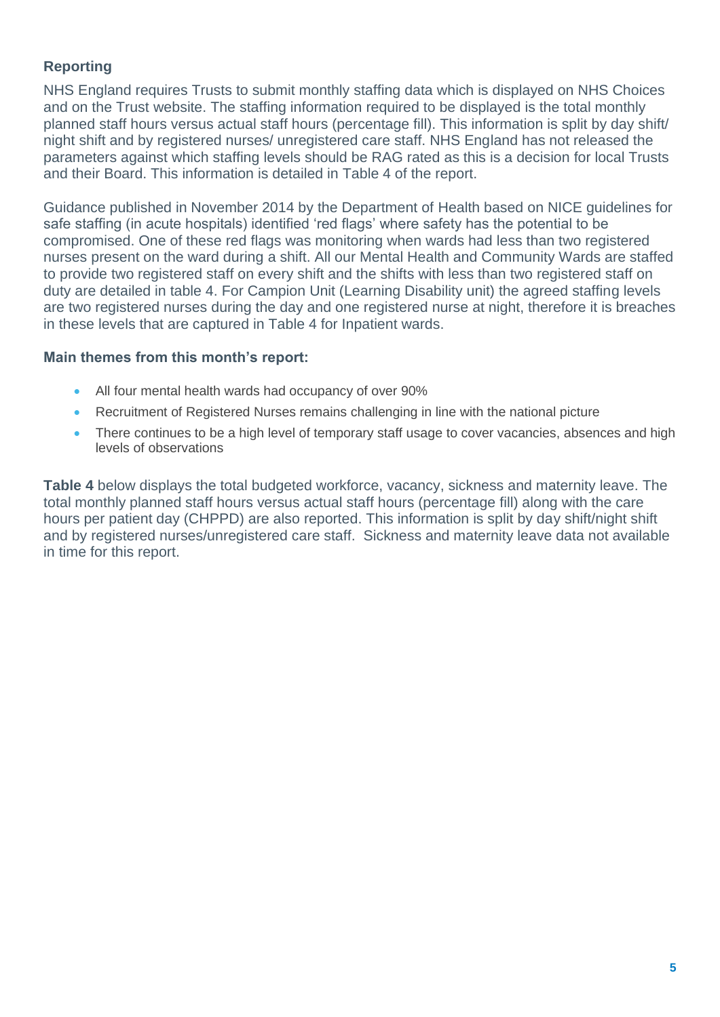# **Reporting**

NHS England requires Trusts to submit monthly staffing data which is displayed on NHS Choices and on the Trust website. The staffing information required to be displayed is the total monthly planned staff hours versus actual staff hours (percentage fill). This information is split by day shift/ night shift and by registered nurses/ unregistered care staff. NHS England has not released the parameters against which staffing levels should be RAG rated as this is a decision for local Trusts and their Board. This information is detailed in Table 4 of the report.

Guidance published in November 2014 by the Department of Health based on NICE guidelines for safe staffing (in acute hospitals) identified 'red flags' where safety has the potential to be compromised. One of these red flags was monitoring when wards had less than two registered nurses present on the ward during a shift. All our Mental Health and Community Wards are staffed to provide two registered staff on every shift and the shifts with less than two registered staff on duty are detailed in table 4. For Campion Unit (Learning Disability unit) the agreed staffing levels are two registered nurses during the day and one registered nurse at night, therefore it is breaches in these levels that are captured in Table 4 for Inpatient wards.

#### **Main themes from this month's report:**

- All four mental health wards had occupancy of over 90%
- Recruitment of Registered Nurses remains challenging in line with the national picture
- There continues to be a high level of temporary staff usage to cover vacancies, absences and high levels of observations

**Table 4** below displays the total budgeted workforce, vacancy, sickness and maternity leave. The total monthly planned staff hours versus actual staff hours (percentage fill) along with the care hours per patient day (CHPPD) are also reported. This information is split by day shift/night shift and by registered nurses/unregistered care staff. Sickness and maternity leave data not available in time for this report.